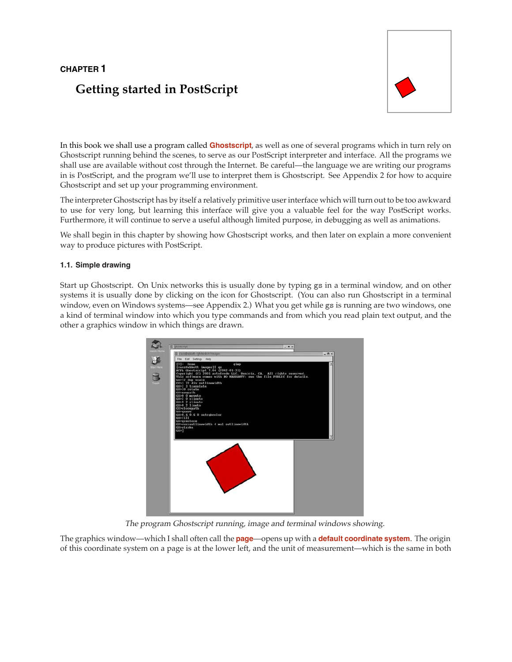# **CHAPTER 1 Getting started in PostScript**



In this book we shall use a program called **Ghostscript**, as well as one of several programs which in turn rely on Ghostscript running behind the scenes, to serve as our PostScript interpreter and interface. All the programs we shall use are available without cost through the Internet. Be careful—the language we are writing our programs in is PostScript, and the program we'll use to interpret them is Ghostscript. See Appendix 2 for how to acquire Ghostscript and set up your programming environment.

The interpreter Ghostscript has by itself a relatively primitive user interface which will turn out to be too awkward to use for very long, but learning this interface will give you a valuable feel for the way PostScript works. Furthermore, it will continue to serve a useful although limited purpose, in debugging as well as animations.

We shall begin in this chapter by showing how Ghostscript works, and then later on explain a more convenient way to produce pictures with PostScript.

# **1.1. Simple drawing**

Start up Ghostscript. On Unix networks this is usually done by typing gs in a terminal window, and on other systems it is usually done by clicking on the icon for Ghostscript. (You can also run Ghostscript in a terminal window, even on Windows systems—see Appendix 2.) What you get while gs is running are two windows, one a kind of terminal window into which you type commands and from which you read plain text output, and the other a graphics window in which things are drawn.



The program Ghostscript running, image and terminal windows showing.

The graphics window—which I shall often call the **page**—opens up with a **default coordinate system**. The origin of this coordinate system on a page is at the lower left, and the unit of measurement—which is the same in both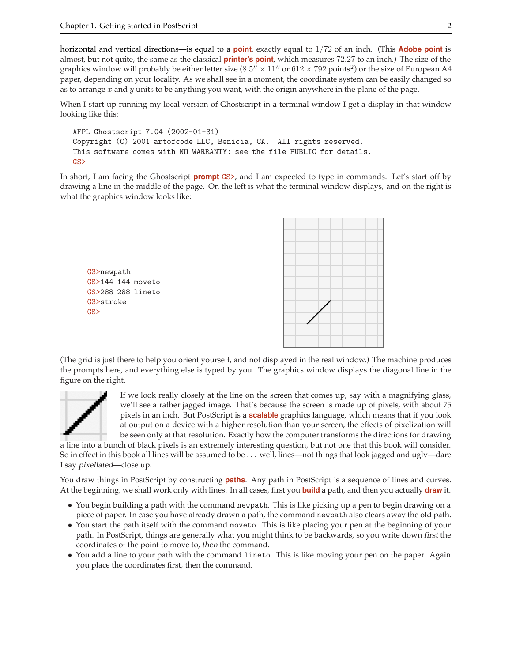horizontal and vertical directions—is equal to a **point**, exactly equal to 1/72 of an inch. (This **Adobe point** is almost, but not quite, the same as the classical **printer's point**, which measures 72.27 to an inch.) The size of the graphics window will probably be either letter size  $(8.5'' \times 11''$  or  $612 \times 792$  points<sup>2</sup>) or the size of European A4 paper, depending on your locality. As we shall see in a moment, the coordinate system can be easily changed so as to arrange  $x$  and  $y$  units to be anything you want, with the origin anywhere in the plane of the page.

When I start up running my local version of Ghostscript in a terminal window I get a display in that window looking like this:

AFPL Ghostscript 7.04 (2002-01-31) Copyright (C) 2001 artofcode LLC, Benicia, CA. All rights reserved. This software comes with NO WARRANTY: see the file PUBLIC for details. GS>

In short, I am facing the Ghostscript **prompt** GS>, and I am expected to type in commands. Let's start off by drawing a line in the middle of the page. On the left is what the terminal window displays, and on the right is what the graphics window looks like:

| GS>newpath<br>GS>144 144 moveto      |  |
|--------------------------------------|--|
| GS>288 288 lineto<br>GS>stroke<br>GS |  |
|                                      |  |

(The grid is just there to help you orient yourself, and not displayed in the real window.) The machine produces the prompts here, and everything else is typed by you. The graphics window displays the diagonal line in the figure on the right.



If we look really closely at the line on the screen that comes up, say with a magnifying glass, we'll see a rather jagged image. That's because the screen is made up of pixels, with about 75 pixels in an inch. But PostScript is a **scalable** graphics language, which means that if you look at output on a device with a higher resolution than your screen, the effects of pixelization will be seen only at that resolution. Exactly how the computer transforms the directions for drawing

a line into a bunch of black pixels is an extremely interesting question, but not one that this book will consider. So in effect in this book all lines will be assumed to be ... well, lines—not things that look jagged and ugly—dare I say pixellated—close up.

You draw things in PostScript by constructing **paths**. Any path in PostScript is a sequence of lines and curves. At the beginning, we shall work only with lines. In all cases, first you **build** a path, and then you actually **draw** it.

- You begin building a path with the command newpath. This is like picking up a pen to begin drawing on a piece of paper. In case you have already drawn a path, the command newpath also clears away the old path.
- You start the path itself with the command moveto. This is like placing your pen at the beginning of your path. In PostScript, things are generally what you might think to be backwards, so you write down *first* the coordinates of the point to move to, then the command.
- You add a line to your path with the command lineto. This is like moving your pen on the paper. Again you place the coordinates first, then the command.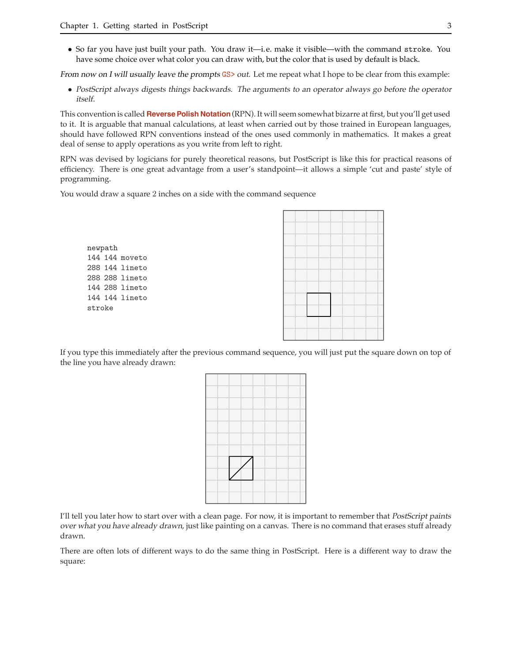• So far you have just built your path. You draw it—i.e. make it visible—with the command stroke. You have some choice over what color you can draw with, but the color that is used by default is black.

From now on I will usually leave the prompts GS> out. Let me repeat what I hope to be clear from this example:

• PostScript always digests things backwards. The arguments to an operator always go before the operator itself.

This convention is called **Reverse Polish Notation** (RPN). It will seem somewhat bizarre at first, but you'll get used to it. It is arguable that manual calculations, at least when carried out by those trained in European languages, should have followed RPN conventions instead of the ones used commonly in mathematics. It makes a great deal of sense to apply operations as you write from left to right.

RPN was devised by logicians for purely theoretical reasons, but PostScript is like this for practical reasons of efficiency. There is one great advantage from a user's standpoint—it allows a simple 'cut and paste' style of programming.

You would draw a square 2 inches on a side with the command sequence

|        | newpath |                |
|--------|---------|----------------|
|        |         | 144 144 moveto |
|        |         | 288 144 lineto |
|        |         | 288 288 lineto |
|        |         | 144 288 lineto |
|        |         | 144 144 lineto |
| stroke |         |                |
|        |         |                |

|  | $\overline{\phantom{a}}$ |   |        |  |  |
|--|--------------------------|---|--------|--|--|
|  |                          | ÷ | $\sim$ |  |  |
|  |                          |   |        |  |  |
|  |                          |   |        |  |  |

If you type this immediately after the previous command sequence, you will just put the square down on top of the line you have already drawn:



I'll tell you later how to start over with a clean page. For now, it is important to remember that PostScript paints over what you have already drawn, just like painting on a canvas. There is no command that erases stuff already drawn.

There are often lots of different ways to do the same thing in PostScript. Here is a different way to draw the square: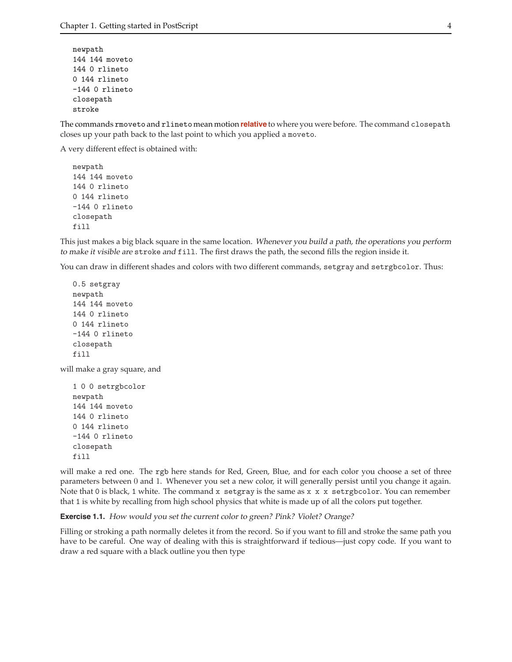newpath 144 144 moveto 144 0 rlineto 0 144 rlineto -144 0 rlineto closepath stroke

The commands rmoveto and rlineto mean motion **relative** to where you were before. The command closepath closes up your path back to the last point to which you applied a moveto.

A very different effect is obtained with:

```
newpath
144 144 moveto
144 0 rlineto
0 144 rlineto
-144 0 rlineto
closepath
fill
```
This just makes a big black square in the same location. Whenever you build <sup>a</sup> path, the operations you perform to make it visible are stroke and fill. The first draws the path, the second fills the region inside it.

You can draw in different shades and colors with two different commands, setgray and setrgbcolor. Thus:

```
0.5 setgray
newpath
144 144 moveto
144 0 rlineto
0 144 rlineto
-144 0 rlineto
closepath
fill
```
will make a gray square, and

```
1 0 0 setrgbcolor
newpath
144 144 moveto
144 0 rlineto
0 144 rlineto
-144 0 rlineto
closepath
fill
```
will make a red one. The rgb here stands for Red, Green, Blue, and for each color you choose a set of three parameters between 0 and 1. Whenever you set a new color, it will generally persist until you change it again. Note that 0 is black, 1 white. The command x setgray is the same as  $x \times x$  setrgbcolor. You can remember that 1 is white by recalling from high school physics that white is made up of all the colors put together.

**Exercise 1.1.** How would you set the current color to green? Pink? Violet? Orange?

Filling or stroking a path normally deletes it from the record. So if you want to fill and stroke the same path you have to be careful. One way of dealing with this is straightforward if tedious—just copy code. If you want to draw a red square with a black outline you then type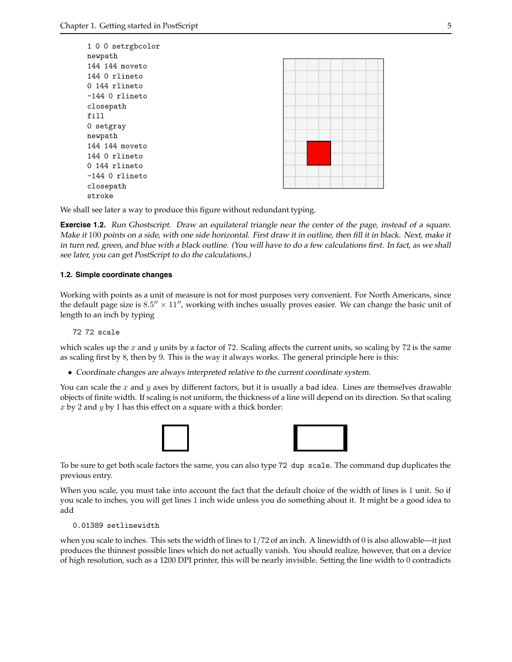| 100 setrgbcolor  |  |  |  |  |  |
|------------------|--|--|--|--|--|
| newpath          |  |  |  |  |  |
| 144 144 moveto   |  |  |  |  |  |
| 144 O rlineto    |  |  |  |  |  |
| 0 144 rlineto    |  |  |  |  |  |
| $-144$ O rlineto |  |  |  |  |  |
| closepath        |  |  |  |  |  |
| fill             |  |  |  |  |  |
| 0 setgray        |  |  |  |  |  |
| newpath          |  |  |  |  |  |
| 144 144 moveto   |  |  |  |  |  |
| 144 0 rlineto    |  |  |  |  |  |
| 0 144 rlineto    |  |  |  |  |  |
| $-144$ O rlineto |  |  |  |  |  |
| closepath        |  |  |  |  |  |
| stroke           |  |  |  |  |  |

We shall see later a way to produce this figure without redundant typing.

**Exercise 1.2.** Run Ghostscript. Draw an equilateral triangle near the center of the page, instead of a square. Make it 100 points on <sup>a</sup> side, with one side horizontal. First draw it in outline, then fill it in black. Next, make it in turn red, green, and blue with <sup>a</sup> black outline. (You will have to do <sup>a</sup> few calculations first. In fact, as we shall see later, you can get PostScript to do the calculations.)

#### **1.2. Simple coordinate changes**

Working with points as a unit of measure is not for most purposes very convenient. For North Americans, since the default page size is  $8.5'' \times 11''$ , working with inches usually proves easier. We can change the basic unit of length to an inch by typing

72 72 scale

which scales up the x and y units by a factor of 72. Scaling affects the current units, so scaling by 72 is the same as scaling first by 8, then by 9. This is the way it always works. The general principle here is this:

• Coordinate changes are always interpreted relative to the current coordinate system.

You can scale the x and y axes by different factors, but it is usually a bad idea. Lines are themselves drawable objects of finite width. If scaling is not uniform, the thickness of a line will depend on its direction. So that scaling x by 2 and  $y$  by 1 has this effect on a square with a thick border:



To be sure to get both scale factors the same, you can also type 72 dup scale. The command dup duplicates the previous entry.

When you scale, you must take into account the fact that the default choice of the width of lines is 1 unit. So if you scale to inches, you will get lines 1 inch wide unless you do something about it. It might be a good idea to add

## 0.01389 setlinewidth

when you scale to inches. This sets the width of lines to  $1/72$  of an inch. A linewidth of 0 is also allowable—it just produces the thinnest possible lines which do not actually vanish. You should realize, however, that on a device of high resolution, such as a 1200 DPI printer, this will be nearly invisible. Setting the line width to 0 contradicts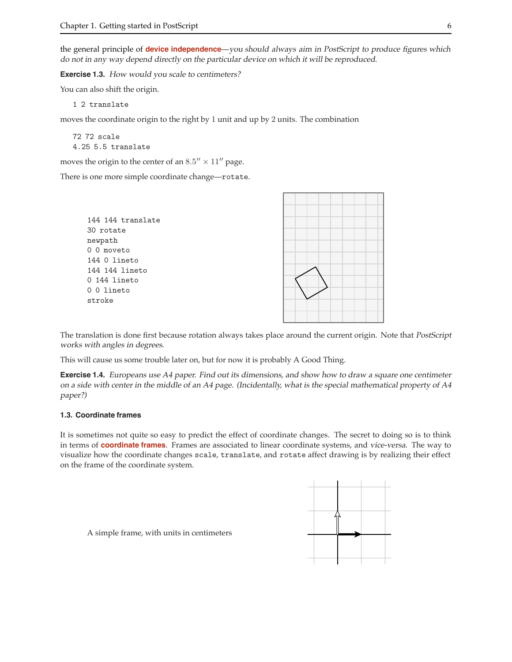the general principle of **device independence**—you should always aim in PostScript to produce figures which do not in any way depend directly on the particular device on which it will be reproduced.

**Exercise 1.3.** How would you scale to centimeters?

You can also shift the origin.

1 2 translate

moves the coordinate origin to the right by 1 unit and up by 2 units. The combination

72 72 scale 4.25 5.5 translate

moves the origin to the center of an  $8.5'' \times 11''$  page.

There is one more simple coordinate change—rotate.

| 144 144 translate |  |
|-------------------|--|
| 30 rotate         |  |
| newpath           |  |
| 0 0 moveto        |  |
| 144 O lineto      |  |
| 144 144 lineto    |  |
| 0 144 lineto      |  |
| 0 0 lineto        |  |
| stroke            |  |
|                   |  |
|                   |  |

The translation is done first because rotation always takes place around the current origin. Note that PostScript works with angles in degrees.

This will cause us some trouble later on, but for now it is probably A Good Thing.

**Exercise 1.4.** Europeans use A4 paper. Find out its dimensions, and show how to draw <sup>a</sup> square one centimeter on <sup>a</sup> side with center in the middle of an A4 page. (Incidentally, what is the special mathematical property of A4 paper?)

## **1.3. Coordinate frames**

It is sometimes not quite so easy to predict the effect of coordinate changes. The secret to doing so is to think in terms of **coordinate frames**. Frames are associated to linear coordinate systems, and vice-versa. The way to visualize how the coordinate changes scale, translate, and rotate affect drawing is by realizing their effect on the frame of the coordinate system.



the control of the control of the

A simple frame, with units in centimeters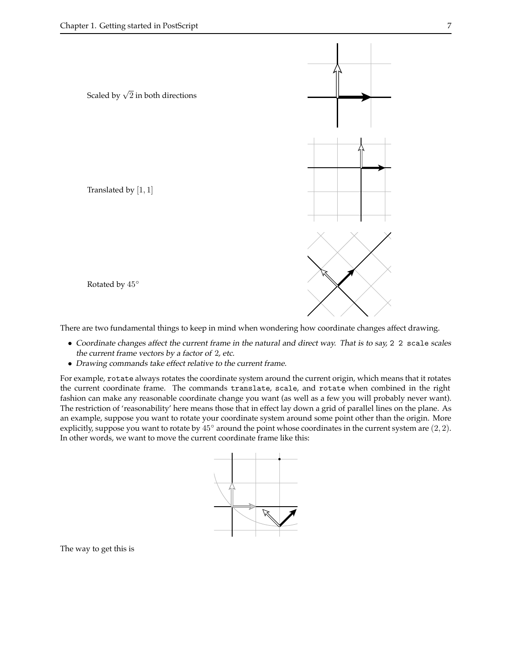

There are two fundamental things to keep in mind when wondering how coordinate changes affect drawing.

- Coordinate changes affect the current frame in the natural and direct way. That is to say, 2 2 scale scales the current frame vectors by <sup>a</sup> factor of 2, etc.
- Drawing commands take effect relative to the current frame.

For example, rotate always rotates the coordinate system around the current origin, which means that it rotates the current coordinate frame. The commands translate, scale, and rotate when combined in the right fashion can make any reasonable coordinate change you want (as well as a few you will probably never want). The restriction of 'reasonability' here means those that in effect lay down a grid of parallel lines on the plane. As an example, suppose you want to rotate your coordinate system around some point other than the origin. More explicitly, suppose you want to rotate by  $45^{\circ}$  around the point whose coordinates in the current system are  $(2, 2)$ . In other words, we want to move the current coordinate frame like this:



The way to get this is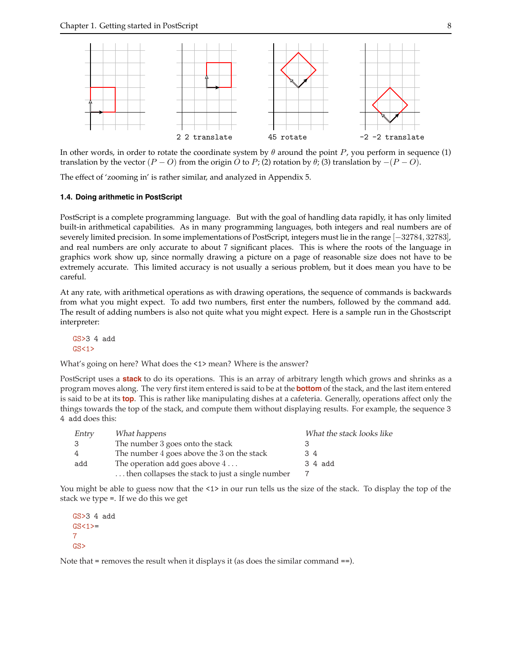

In other words, in order to rotate the coordinate system by  $\theta$  around the point P, you perform in sequence (1) translation by the vector  $(P - O)$  from the origin O to P; (2) rotation by  $\theta$ ; (3) translation by  $-(P - O)$ .

The effect of 'zooming in' is rather similar, and analyzed in Appendix 5.

## **1.4. Doing arithmetic in PostScript**

PostScript is a complete programming language. But with the goal of handling data rapidly, it has only limited built-in arithmetical capabilities. As in many programming languages, both integers and real numbers are of severely limited precision. In some implementations of PostScript, integers must lie in the range [−32784, 32783], and real numbers are only accurate to about 7 significant places. This is where the roots of the language in graphics work show up, since normally drawing a picture on a page of reasonable size does not have to be extremely accurate. This limited accuracy is not usually a serious problem, but it does mean you have to be careful.

At any rate, with arithmetical operations as with drawing operations, the sequence of commands is backwards from what you might expect. To add two numbers, first enter the numbers, followed by the command add. The result of adding numbers is also not quite what you might expect. Here is a sample run in the Ghostscript interpreter:

GS>3 4 add  $GS < 1$ 

What's going on here? What does the <1> mean? Where is the answer?

PostScript uses a **stack** to do its operations. This is an array of arbitrary length which grows and shrinks as a program moves along. The very first item entered is said to be at the **bottom** of the stack, and the last item entered is said to be at its **top**. This is rather like manipulating dishes at a cafeteria. Generally, operations affect only the things towards the top of the stack, and compute them without displaying results. For example, the sequence 3 4 add does this:

| Entry          | What happens                                     | What the stack looks like |
|----------------|--------------------------------------------------|---------------------------|
|                | The number 3 goes onto the stack                 |                           |
| $\overline{4}$ | The number 4 goes above the 3 on the stack       | 34                        |
| add            | The operation add goes above $4 \ldots$          | 3 4 add                   |
|                | then collapses the stack to just a single number |                           |

You might be able to guess now that the <1> in our run tells us the size of the stack. To display the top of the stack we type =. If we do this we get

GS>3 4 add  $GS<1>$ = 7 GS>

Note that = removes the result when it displays it (as does the similar command ==).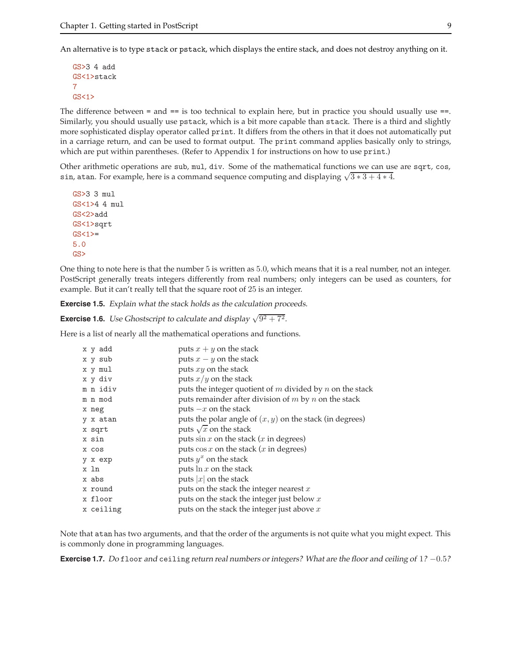An alternative is to type stack or pstack, which displays the entire stack, and does not destroy anything on it.

```
GS>3 4 add
GS<1>stack
7
GS<1>
```
The difference between  $=$  and  $==$  is too technical to explain here, but in practice you should usually use  $==$ . Similarly, you should usually use pstack, which is a bit more capable than stack. There is a third and slightly more sophisticated display operator called print. It differs from the others in that it does not automatically put in a carriage return, and can be used to format output. The print command applies basically only to strings, which are put within parentheses. (Refer to Appendix 1 for instructions on how to use print.)

Other arithmetic operations are sub, mul, div. Some of the mathematical functions we can use are sqrt, cos, sin, atan. For example, here is a command sequence computing and displaying  $\sqrt{3*3+4*4}$ .

```
GS>3 3 mul
GS<1>4 4 mul
GS<2>add
GS<1>sqrt
GS < 1 > =
5.0
GS>
```
One thing to note here is that the number 5 is written as 5.0, which means that it is a real number, not an integer. PostScript generally treats integers differently from real numbers; only integers can be used as counters, for example. But it can't really tell that the square root of 25 is an integer.

**Exercise 1.5.** Explain what the stack holds as the calculation proceeds.

**Exercise 1.6.** Use Ghostscript to calculate and display  $\sqrt{9^2 + 7^2}$ .

Here is a list of nearly all the mathematical operations and functions.

| x y add   | puts $x + y$ on the stack                                    |
|-----------|--------------------------------------------------------------|
| x y sub   | puts $x - y$ on the stack                                    |
| x y mul   | puts $xy$ on the stack                                       |
| x y div   | puts $x/y$ on the stack                                      |
| m n idiv  | puts the integer quotient of $m$ divided by $n$ on the stack |
| m n mod   | puts remainder after division of $m$ by $n$ on the stack     |
| x neg     | puts $-x$ on the stack                                       |
| y x atan  | puts the polar angle of $(x, y)$ on the stack (in degrees)   |
| x sqrt    | puts $\sqrt{x}$ on the stack                                 |
| x sin     | puts $\sin x$ on the stack ( $x$ in degrees)                 |
| X COS     | puts $\cos x$ on the stack (x in degrees)                    |
| y x exp   | puts $y^x$ on the stack                                      |
| x ln      | puts $\ln x$ on the stack                                    |
| x abs     | puts  x  on the stack                                        |
| x round   | puts on the stack the integer nearest $x$                    |
| x floor   | puts on the stack the integer just below $x$                 |
| x ceiling | puts on the stack the integer just above $x$                 |
|           |                                                              |

Note that atan has two arguments, and that the order of the arguments is not quite what you might expect. This is commonly done in programming languages.

**Exercise 1.7.** Do floor and ceiling return real numbers or integers? What are the floor and ceiling of 1? −0.5?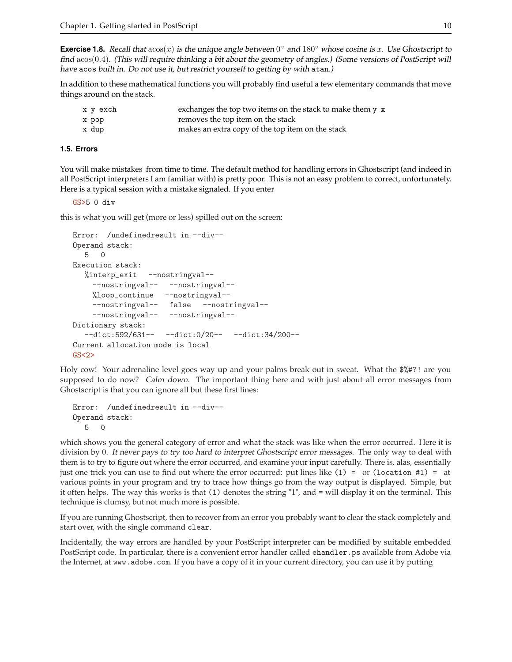**Exercise 1.8.** Recall that  $a\cos(x)$  is the unique angle between  $0°$  and  $180°$  whose cosine is x. Use Ghostscript to find acos(0.4). (This will require thinking <sup>a</sup> bit about the geometry of angles.) (Some versions of PostScript will have acos built in. Do not use it, but restrict yourself to getting by with atan.)

In addition to these mathematical functions you will probably find useful a few elementary commands that move things around on the stack.

| x y exch | exchanges the top two items on the stack to make them y x |
|----------|-----------------------------------------------------------|
| x pop    | removes the top item on the stack                         |
| x dup    | makes an extra copy of the top item on the stack          |

## **1.5. Errors**

You will make mistakes from time to time. The default method for handling errors in Ghostscript (and indeed in all PostScript interpreters I am familiar with) is pretty poor. This is not an easy problem to correct, unfortunately. Here is a typical session with a mistake signaled. If you enter

GS>5 0 div

this is what you will get (more or less) spilled out on the screen:

```
Error: /undefinedresult in --div--
Operand stack:
  5 0
Execution stack:
  %interp_exit --nostringval--
    --nostringval-- --nostringval--
    %loop_continue --nostringval--
    --nostringval-- false --nostringval--
    --nostringval-- --nostringval--
Dictionary stack:
  --dict:592/631-- --dict:0/20-- --dict:34/200--
Current allocation mode is local
GS<2>
```
Holy cow! Your adrenaline level goes way up and your palms break out in sweat. What the \$%#?! are you supposed to do now? Calm down. The important thing here and with just about all error messages from Ghostscript is that you can ignore all but these first lines:

```
Error: /undefinedresult in --div--
Operand stack:
  5 0
```
which shows you the general category of error and what the stack was like when the error occurred. Here it is division by 0. It never pays to try too hard to interpret Ghostscript error messages. The only way to deal with them is to try to figure out where the error occurred, and examine your input carefully. There is, alas, essentially just one trick you can use to find out where the error occurred: put lines like (1) = or (location #1) = at various points in your program and try to trace how things go from the way output is displayed. Simple, but it often helps. The way this works is that (1) denotes the string "1", and = will display it on the terminal. This technique is clumsy, but not much more is possible.

If you are running Ghostscript, then to recover from an error you probably want to clear the stack completely and start over, with the single command clear.

Incidentally, the way errors are handled by your PostScript interpreter can be modified by suitable embedded PostScript code. In particular, there is a convenient error handler called ehandler.ps available from Adobe via the Internet, at www.adobe.com. If you have a copy of it in your current directory, you can use it by putting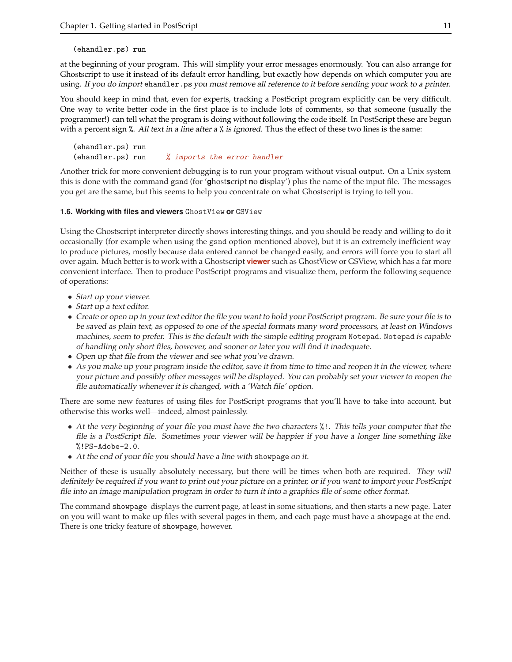(ehandler.ps) run

at the beginning of your program. This will simplify your error messages enormously. You can also arrange for Ghostscript to use it instead of its default error handling, but exactly how depends on which computer you are using. If you do import ehandler.ps you must remove all reference to it before sending your work to a printer.

You should keep in mind that, even for experts, tracking a PostScript program explicitly can be very difficult. One way to write better code in the first place is to include lots of comments, so that someone (usually the programmer!) can tell what the program is doing without following the code itself. In PostScript these are begun with a percent sign %. All text in a line after a % is ignored. Thus the effect of these two lines is the same:

(ehandler.ps) run (ehandler.ps) run *% imports the error handler*

Another trick for more convenient debugging is to run your program without visual output. On a Unix system this is done with the command gsnd (for '**g**host**s**cript **n**o **d**isplay') plus the name of the input file. The messages you get are the same, but this seems to help you concentrate on what Ghostscript is trying to tell you.

# **1.6. Working with files and viewers** GhostView **or** GSView

Using the Ghostscript interpreter directly shows interesting things, and you should be ready and willing to do it occasionally (for example when using the gsnd option mentioned above), but it is an extremely inefficient way to produce pictures, mostly because data entered cannot be changed easily, and errors will force you to start all over again. Much better is to work with a Ghostscript **viewer** such as GhostView or GSView, which has a far more convenient interface. Then to produce PostScript programs and visualize them, perform the following sequence of operations:

- Start up your viewer.
- Start up <sup>a</sup> text editor.
- Create or open up in your text editor the file you want to hold your PostScript program. Be sure your file is to be saved as plain text, as opposed to one of the special formats many word processors, at least on Windows machines, seem to prefer. This is the default with the simple editing program Notepad. Notepad is capable of handling only short files, however, and sooner or later you will find it inadequate.
- Open up that file from the viewer and see what you've drawn.
- As you make up your program inside the editor, save it from time to time and reopen it in the viewer, where your picture and possibly other messages will be displayed. You can probably set your viewer to reopen the file automatically whenever it is changed, with <sup>a</sup> 'Watch file' option.

There are some new features of using files for PostScript programs that you'll have to take into account, but otherwise this works well—indeed, almost painlessly.

- At the very beginning of your file you must have the two characters %!. This tells your computer that the file is <sup>a</sup> PostScript file. Sometimes your viewer will be happier if you have <sup>a</sup> longer line something like %!PS-Adobe-2.0.
- At the end of your file you should have <sup>a</sup> line with showpage on it.

Neither of these is usually absolutely necessary, but there will be times when both are required. They will definitely be required if you want to print out your picture on <sup>a</sup> printer, or if you want to import your PostScript file into an image manipulation program in order to turn it into <sup>a</sup> graphics file of some other format.

The command showpage displays the current page, at least in some situations, and then starts a new page. Later on you will want to make up files with several pages in them, and each page must have a showpage at the end. There is one tricky feature of showpage, however.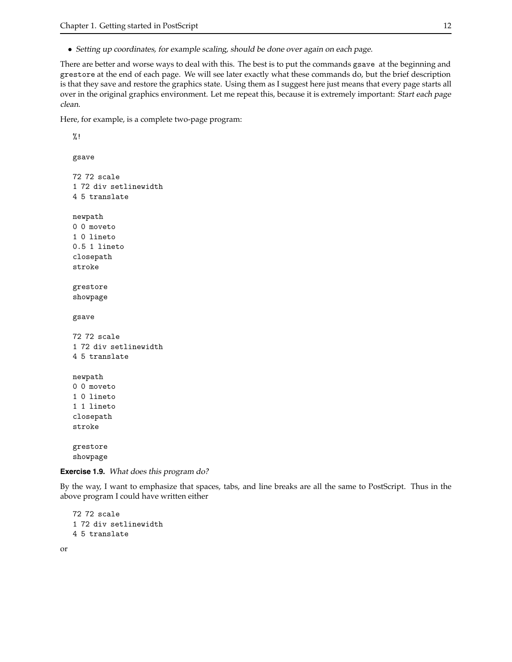• Setting up coordinates, for example scaling, should be done over again on each page.

There are better and worse ways to deal with this. The best is to put the commands gsave at the beginning and grestore at the end of each page. We will see later exactly what these commands do, but the brief description is that they save and restore the graphics state. Using them as I suggest here just means that every page starts all over in the original graphics environment. Let me repeat this, because it is extremely important: Start each page clean.

Here, for example, is a complete two-page program:

 $\%$ !

gsave

```
72 72 scale
   1 72 div setlinewidth
   4 5 translate
  newpath
   0 0 moveto
   1 0 lineto
   0.5 1 lineto
   closepath
   stroke
   grestore
   showpage
   gsave
  72 72 scale
   1 72 div setlinewidth
  4 5 translate
  newpath
  0 0 moveto
   1 0 lineto
   1 1 lineto
   closepath
   stroke
   grestore
   showpage
Exercise 1.9. What does this program do?
```
By the way, I want to emphasize that spaces, tabs, and line breaks are all the same to PostScript. Thus in the above program I could have written either

```
72 72 scale
1 72 div setlinewidth
4 5 translate
```
or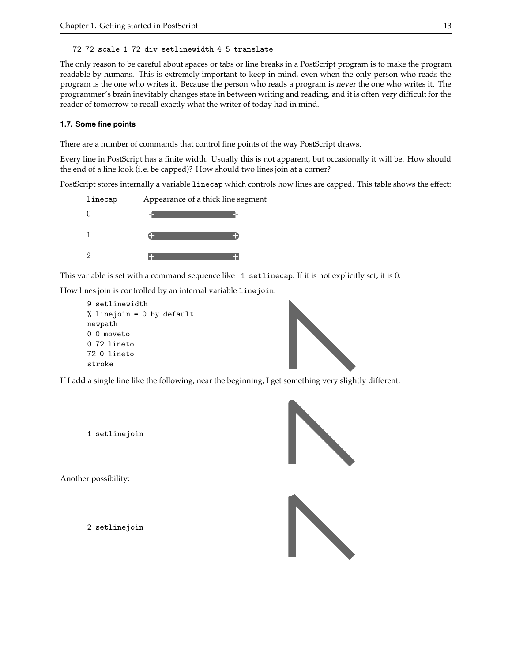72 72 scale 1 72 div setlinewidth 4 5 translate

The only reason to be careful about spaces or tabs or line breaks in a PostScript program is to make the program readable by humans. This is extremely important to keep in mind, even when the only person who reads the program is the one who writes it. Because the person who reads a program is never the one who writes it. The programmer's brain inevitably changes state in between writing and reading, and it is often very difficult for the reader of tomorrow to recall exactly what the writer of today had in mind.

# **1.7. Some fine points**

There are a number of commands that control fine points of the way PostScript draws.

Every line in PostScript has a finite width. Usually this is not apparent, but occasionally it will be. How should the end of a line look (i.e. be capped)? How should two lines join at a corner?

PostScript stores internally a variable linecap which controls how lines are capped. This table shows the effect:



This variable is set with a command sequence like 1 setlinecap. If it is not explicitly set, it is 0.

How lines join is controlled by an internal variable linejoin.

```
9 setlinewidth
% linejoin = 0 by default
newpath
0 0 moveto
0 72 lineto
72 0 lineto
stroke
```


If I add a single line like the following, near the beginning, I get something very slightly different.

1 setlinejoin

Another possibility:





2 setlinejoin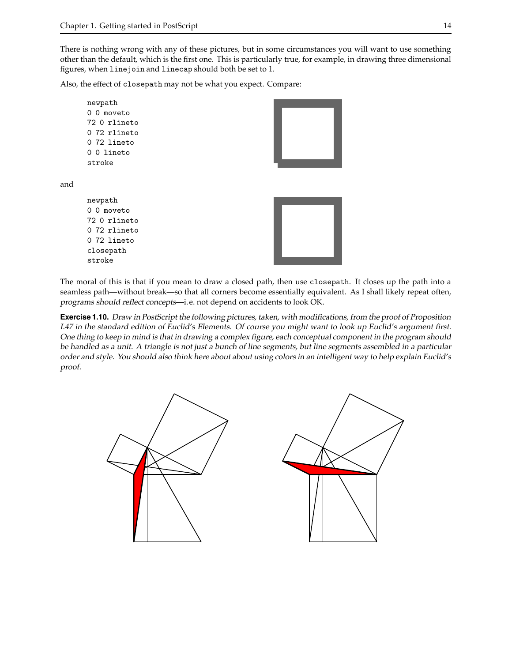There is nothing wrong with any of these pictures, but in some circumstances you will want to use something other than the default, which is the first one. This is particularly true, for example, in drawing three dimensional figures, when linejoin and linecap should both be set to 1.

Also, the effect of closepath may not be what you expect. Compare:

newpath 0 0 moveto 72 0 rlineto 0 72 rlineto 0 72 lineto 0 0 lineto stroke

and

newpath 0 0 moveto 72 0 rlineto 0 72 rlineto 0 72 lineto closepath stroke

The moral of this is that if you mean to draw a closed path, then use closepath. It closes up the path into a seamless path—without break—so that all corners become essentially equivalent. As I shall likely repeat often, programs should reflect concepts—i.e. not depend on accidents to look OK.

**Exercise 1.10.** Draw in PostScript the following pictures, taken, with modifications, from the proof of Proposition I.47 in the standard edition of Euclid's Elements. Of course you might want to look up Euclid's argument first. One thing to keep in mind is that in drawing <sup>a</sup> complex figure, each conceptual component in the program should be handled as <sup>a</sup> unit. <sup>A</sup> triangle is not just <sup>a</sup> bunch of line segments, but line segments assembled in <sup>a</sup> particular order and style. You should also think here about about using colors in an intelligent way to help explain Euclid's proof.

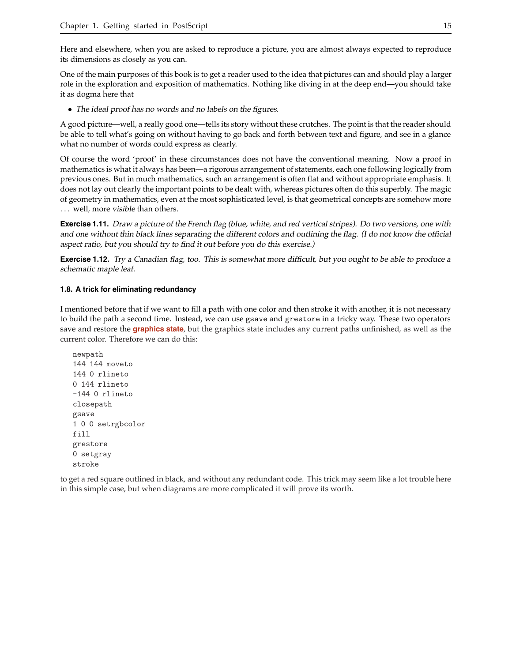Here and elsewhere, when you are asked to reproduce a picture, you are almost always expected to reproduce its dimensions as closely as you can.

One of the main purposes of this book is to get a reader used to the idea that pictures can and should play a larger role in the exploration and exposition of mathematics. Nothing like diving in at the deep end—you should take it as dogma here that

• The ideal proof has no words and no labels on the figures.

A good picture—well, a really good one—tells its story without these crutches. The point is that the reader should be able to tell what's going on without having to go back and forth between text and figure, and see in a glance what no number of words could express as clearly.

Of course the word 'proof' in these circumstances does not have the conventional meaning. Now a proof in mathematics is what it always has been—a rigorous arrangement of statements, each one following logically from previous ones. But in much mathematics, such an arrangement is often flat and without appropriate emphasis. It does not lay out clearly the important points to be dealt with, whereas pictures often do this superbly. The magic of geometry in mathematics, even at the most sophisticated level, is that geometrical concepts are somehow more ... well, more visible than others.

**Exercise 1.11.** Draw <sup>a</sup> picture of the French flag (blue, white, and red vertical stripes). Do two versions, one with and one without thin black lines separating the different colors and outlining the flag. (I do not know the official aspect ratio, but you should try to find it out before you do this exercise.)

**Exercise 1.12.** Try <sup>a</sup> Canadian flag, too. This is somewhat more difficult, but you ought to be able to produce <sup>a</sup> schematic maple leaf.

## **1.8. A trick for eliminating redundancy**

I mentioned before that if we want to fill a path with one color and then stroke it with another, it is not necessary to build the path a second time. Instead, we can use gsave and grestore in a tricky way. These two operators save and restore the **graphics state**, but the graphics state includes any current paths unfinished, as well as the current color. Therefore we can do this:

```
newpath
144 144 moveto
144 0 rlineto
0 144 rlineto
-144 0 rlineto
closepath
gsave
1 0 0 setrgbcolor
fill
grestore
0 setgray
stroke
```
to get a red square outlined in black, and without any redundant code. This trick may seem like a lot trouble here in this simple case, but when diagrams are more complicated it will prove its worth.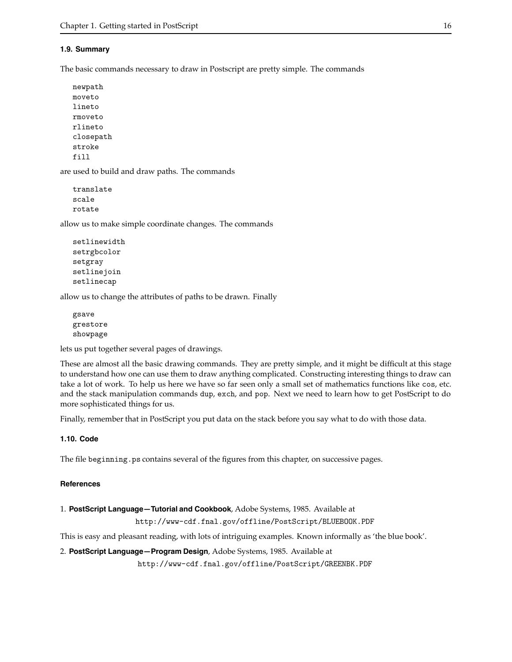## **1.9. Summary**

The basic commands necessary to draw in Postscript are pretty simple. The commands

newpath moveto lineto rmoveto rlineto closepath stroke fill

are used to build and draw paths. The commands

translate scale rotate

allow us to make simple coordinate changes. The commands

```
setlinewidth
setrgbcolor
setgray
setlinejoin
setlinecap
```
allow us to change the attributes of paths to be drawn. Finally

gsave grestore showpage

lets us put together several pages of drawings.

These are almost all the basic drawing commands. They are pretty simple, and it might be difficult at this stage to understand how one can use them to draw anything complicated. Constructing interesting things to draw can take a lot of work. To help us here we have so far seen only a small set of mathematics functions like cos, etc. and the stack manipulation commands dup, exch, and pop. Next we need to learn how to get PostScript to do more sophisticated things for us.

Finally, remember that in PostScript you put data on the stack before you say what to do with those data.

### **1.10. Code**

The file beginning.ps contains several of the figures from this chapter, on successive pages.

## **References**

#### 1. **PostScript Language—Tutorial and Cookbook**, Adobe Systems, 1985. Available at

http://www-cdf.fnal.gov/offline/PostScript/BLUEBOOK.PDF

This is easy and pleasant reading, with lots of intriguing examples. Known informally as 'the blue book'.

#### 2. **PostScript Language—Program Design**, Adobe Systems, 1985. Available at

http://www-cdf.fnal.gov/offline/PostScript/GREENBK.PDF